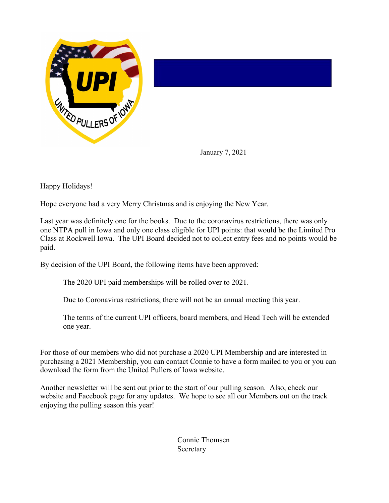

January 7, 2021

Happy Holidays!

Hope everyone had a very Merry Christmas and is enjoying the New Year.

Last year was definitely one for the books. Due to the coronavirus restrictions, there was only one NTPA pull in Iowa and only one class eligible for UPI points: that would be the Limited Pro Class at Rockwell Iowa. The UPI Board decided not to collect entry fees and no points would be paid.

By decision of the UPI Board, the following items have been approved:

The 2020 UPI paid memberships will be rolled over to 2021.

Due to Coronavirus restrictions, there will not be an annual meeting this year.

The terms of the current UPI officers, board members, and Head Tech will be extended one year.

For those of our members who did not purchase a 2020 UPI Membership and are interested in purchasing a 2021 Membership, you can contact Connie to have a form mailed to you or you can download the form from the United Pullers of Iowa website.

Another newsletter will be sent out prior to the start of our pulling season. Also, check our website and Facebook page for any updates. We hope to see all our Members out on the track enjoying the pulling season this year!

> Connie Thomsen **Secretary**